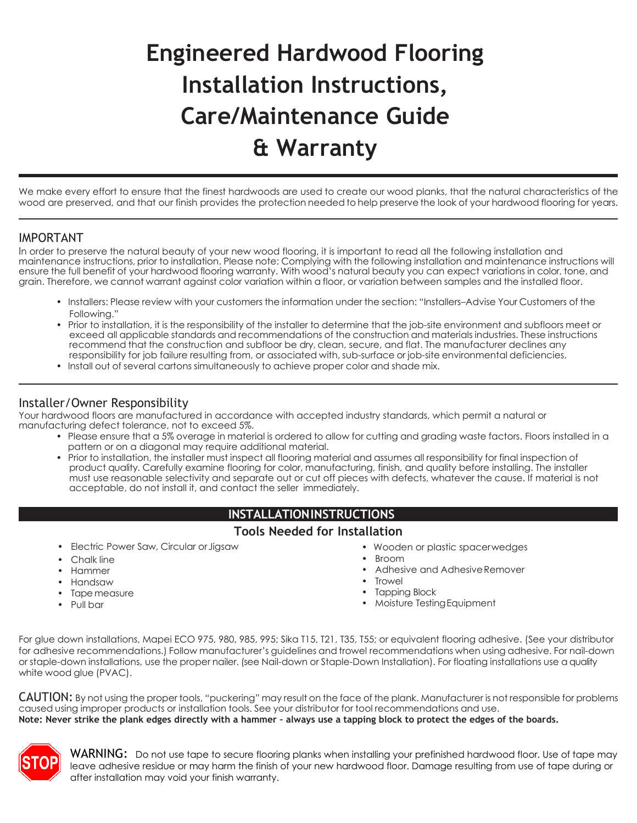# **Engineered Hardwood Flooring Installation Instructions, Care/Maintenance Guide & Warranty**

We make every effort to ensure that the finest hardwoods are used to create our wood planks, that the natural characteristics of the wood are preserved, and that our finish provides the protection needed to help preserve the look of your hardwood flooring for years.

#### IMPORTANT

In order to preserve the natural beauty of your new wood flooring, it is important to read all the following installation and maintenance instructions, prior to installation. Please note: Complying with the following installation and maintenance instructions will ensure the full benefit of your hardwood flooring warranty. With wood's natural beauty you can expect variations in color, tone, and grain. Therefore, we cannot warrant against color variation within a floor, or variation between samples and the installed floor.

- Installers: Please review with your customers the information under the section: "Installers–Advise Your Customers of the Following."
- Prior to installation, it is the responsibility of the installer to determine that the job-site environment and subfloors meet or exceed all applicable standards and recommendations of the construction and materials industries. These instructions recommend that the construction and subfloor be dry, clean, secure, and flat. The manufacturer declines any responsibility for job failure resulting from, or associated with, sub-surface or job-site environmental deficiencies.
- Install out of several cartons simultaneously to achieve proper color and shade mix.

#### Installer/Owner Responsibility

Your hardwood floors are manufactured in accordance with accepted industry standards, which permit a natural or manufacturing defect tolerance, not to exceed 5%.

- Please ensure that a 5% overage in material is ordered to allow for cutting and grading waste factors. Floors installed in a pattern or on a diagonal may require additional material.
- Prior to installation, the installer must inspect all flooring material and assumes all responsibility for final inspection of product quality. Carefully examine flooring for color, manufacturing, finish, and quality before installing. The installer must use reasonable selectivity and separate out or cut off pieces with defects, whatever the cause. If material is not acceptable, do not install it, and contact the seller immediately.

#### **INSTALLATIONINSTRUCTIONS**

#### **Tools Needed for Installation**

- Electric Power Saw, Circular orJigsaw
- Chalk line
- Hammer
- Handsaw
- Tape measure
- Pull bar
- Wooden or plastic spacerwedges
- Broom
- Adhesive and Adhesive Remover
- **Trowel**
- Tapping Block
- Moisture TestingEquipment

For glue down installations, Mapei ECO 975, 980, 985, 995; Sika T15, T21, T35, T55; or equivalent flooring adhesive. (See your distributor for adhesive recommendations.) Follow manufacturer's guidelines and trowel recommendations when using adhesive. For nail-down or staple-down installations, use the proper nailer. (see Nail-down or Staple-Down Installation). For floating installations use a quality white wood glue (PVAC).

CAUTION: By not using the proper tools, "puckering" may result on the face of the plank. Manufacturer is not responsible for problems caused using improper products or installation tools. See your distributor for tool recommendations and use. **Note: Never strike the plank edges directly with a hammer – always use a tapping block to protect the edges of the boards.**



 $WARMING:$  Do not use tape to secure flooring planks when installing your prefinished hardwood floor. Use of tape may leave adhesive residue or may harm the finish of your new hardwood floor. Damage resulting from use of tape during or after installation may void your finish warranty.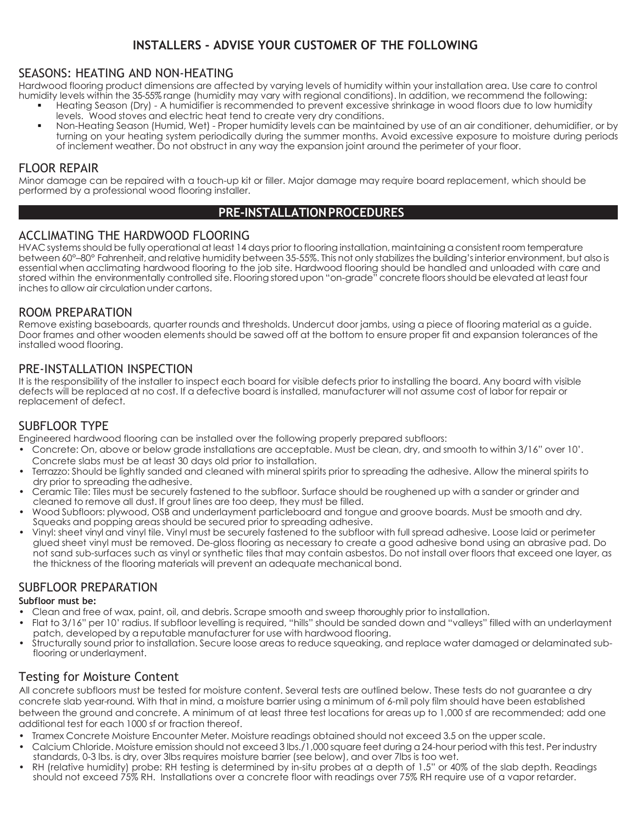# **INSTALLERS - ADVISE YOUR CUSTOMER OF THE FOLLOWING**

#### SEASONS: HEATING AND NON-HEATING

Hardwood flooring product dimensions are affected by varying levels of humidity within your installation area. Use care to control humidity levels within the 35-55% range (humidity may vary with regional conditions). In addition, we recommend the following:

- Heating Season (Dry) A humidifier is recommended to prevent excessive shrinkage in wood floors due to low humidity levels. Wood stoves and electric heat tend to create very dry conditions.
- Non-Heating Season (Humid, Wet) Proper humidity levels can be maintained by use of an air conditioner, dehumidifier, or by turning on your heating system periodically during the summer months. Avoid excessive exposure to moisture during periods of inclement weather. Do not obstruct in any way the expansion joint around the perimeter of your floor.

#### FLOOR REPAIR

Minor damage can be repaired with a touch-up kit or filler. Major damage may require board replacement, which should be performed by a professional wood flooring installer.

#### **PRE-INSTALLATIONPROCEDURES**

#### ACCLIMATING THE HARDWOOD FLOORING

HVAC systems should be fully operational at least 14 days prior to flooring installation, maintaining a consistent room temperature between 60°–80° Fahrenheit, and relative humidity between 35-55%. This not only stabilizes the building'sinterior environment, but also is essential when acclimating hardwood flooring to the job site. Hardwood flooring should be handled and unloaded with care and stored within the environmentally controlled site. Flooring storedupon "on-grade" concrete floorsshould be elevated at least four inches to allow air circulation under cartons.

#### ROOM PREPARATION

Remove existing baseboards, quarter rounds and thresholds. Undercut door jambs, using a piece of flooring material as a guide. Door frames and other wooden elements should be sawed off at the bottom to ensure proper fit and expansion tolerances of the installed wood flooring.

#### PRE-INSTALLATION INSPECTION

It is the responsibility of the installer to inspect each board for visible defects prior to installing the board. Any board with visible defects will be replaced at no cost. If a defective board is installed, manufacturer will not assume cost of labor for repair or replacement of defect.

#### SUBFLOOR TYPE

Engineered hardwood flooring can be installed over the following properly prepared subfloors:

- Concrete: On, above or below grade installations are acceptable. Must be clean, dry, and smooth to within 3/16" over 10'. Concrete slabs must be at least 30 days old prior to installation.
- Terrazzo: Should be lightly sanded and cleaned with mineral spirits prior to spreading the adhesive. Allow the mineral spirits to dry prior to spreading the adhesive.
- Ceramic Tile: Tiles must be securely fastened to the subfloor. Surface should be roughened up with a sander or grinder and cleaned to remove all dust. If grout lines are too deep, they must be filled.
- Wood Subfloors: plywood, OSB and underlayment particleboard and tongue and groove boards. Must be smooth and dry. Squeaks and popping areas should be secured prior to spreading adhesive.
- Vinyl: sheet vinyl and vinyl tile. Vinyl must be securely fastened to the subfloor with full spread adhesive. Loose laid or perimeter glued sheet vinyl must be removed. De-gloss flooring as necessary to create a good adhesive bond using an abrasive pad. Do not sand sub-surfaces such as vinyl or synthetic tiles that may contain asbestos. Do not install over floors that exceed one layer, as the thickness of the flooring materials will prevent an adequate mechanical bond.

#### SUBFLOOR PREPARATION

#### **Subfloor must be:**

- Clean and free of wax, paint, oil, and debris. Scrape smooth and sweep thoroughly prior to installation.
- Flat to 3/16" per 10' radius. If subfloor levelling is required, "hills" should be sanded down and "valleys" filled with an underlayment patch, developed by a reputable manufacturer for use with hardwood flooring.
- Structurally sound prior to installation. Secure loose areas to reduce squeaking, and replace water damaged or delaminated subflooring or underlayment.

#### Testing for Moisture Content

All concrete subfloors must be tested for moisture content. Several tests are outlined below. These tests do not guarantee a dry concrete slab year-round. With that in mind, a moisture barrier using a minimum of 6-mil poly film should have been established between the ground and concrete. A minimum of at least three test locations for areas up to 1,000 sf are recommended; add one additional test for each 1000 sf or fraction thereof.

- Tramex Concrete Moisture Encounter Meter. Moisture readings obtained should not exceed 3.5 on the upper scale.
- Calcium Chloride. Moisture emission should not exceed 3 lbs./1,000 square feet during a 24-hour period with this test. Per industry standards, 0-3 lbs. is dry, over 3lbs requires moisture barrier (see below), and over 7lbs is too wet.
- RH (relative humidity) probe: RH testing is determined by in-situ probes at a depth of 1.5" or 40% of the slab depth. Readings should not exceed 75% RH. Installations over a concrete floor with readings over 75% RH require use of a vapor retarder.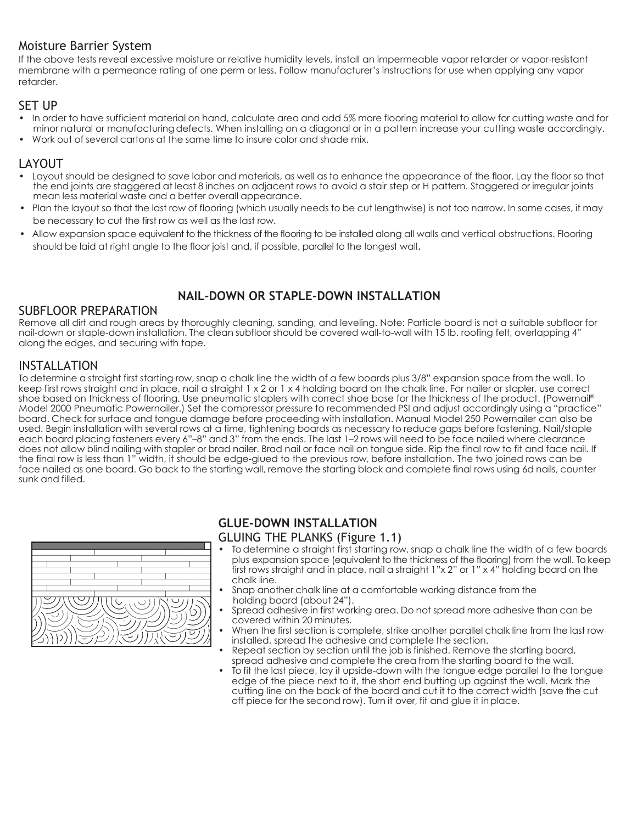## Moisture Barrier System

If the above tests reveal excessive moisture or relative humidity levels, install an impermeable vapor retarder or vapor-resistant membrane with a permeance rating of one perm or less. Follow manufacturer's instructions for use when applying any vapor retarder.

#### SET UP

- In order to have sufficient material on hand, calculate area and add 5% more flooring material to allow for cutting waste and for minor natural or manufacturingdefects. When installing on a diagonal or in a pattern increase your cutting waste accordingly.
- Work out of several cartons at the same time to insure color and shade mix.

## LAYOUT

- Layout should be designed to save labor and materials, as well as to enhance the appearance of the floor. Lay the floor so that the end joints are staggered at least 8 inches on adjacent rows to avoid a stair step or H pattern. Staggered or irregular joints mean less material waste and a better overall appearance.
- Plan the layout so that the last row of flooring (which usually needs to be cut lengthwise) is not too narrow. In some cases, it may be necessary to cut the first row as well as the last row.
- Allow expansion space equivalent to the thickness of the flooring to be installed along all walls and vertical obstructions. Flooring should be laid at right angle to the floor joist and, if possible, parallel to the longest wall.

## **NAIL-DOWN OR STAPLE-DOWN INSTALLATION**

#### SUBFLOOR PREPARATION

Remove all dirt and rough areas by thoroughly cleaning, sanding, and leveling. Note: Particle board is not a suitable subfloor for nail-down or staple-down installation. The clean subfloor should be covered wall-to-wall with 15 lb. roofing felt, overlapping 4" along the edges, and securing with tape.

#### INSTALLATION

To determine a straight first starting row, snap a chalk line the width of a few boards plus 3/8" expansion space from the wall. To keep first rows straight and in place, nail a straight 1 x 2 or 1 x 4 holding board on the chalk line. For nailer or stapler, use correct shoe based on thickness of flooring. Use pneumatic staplers with correct shoe base for the thickness of the product. (Powernail® Model 2000 Pneumatic Powernailer.) Set the compressor pressure to recommended PSI and adjust accordingly using a "practice" board. Check for surface and tongue damage before proceeding with installation. Manual Model 250 Powernailer can also be used. Begin installation with several rows at a time, tightening boards as necessary to reduce gaps before fastening. Nail/staple each board placing fasteners every 6"–8" and 3" from the ends. The last 1–2 rows will need to be face nailed where clearance does not allow blind nailing with stapler or brad nailer. Brad nail or face nail on tongue side. Rip the final row to fit and face nail. If the final row is less than 1" width, it should be edge-glued to the previous row, before installation. The two joined rows can be face nailed as one board. Go back to the starting wall, remove the starting block and complete final rows using 6d nails, counter sunk and filled.



#### **GLUE-DOWN INSTALLATION**

#### GLUING THE PLANKS (Figure 1.1)

- To determine a straight first starting row, snap a chalk line the width of a few boards plus expansion space (equivalent to the thickness of the flooring) from the wall. To keep first rows straight and in place, nail a straight 1"x 2" or 1" x 4" holding board on the chalk line.
- Snap another chalk line at a comfortable working distance from the holding board (about 24").
- Spread adhesive in first working area. Do not spread more adhesive than can be covered within 20 minutes.
- When the first section is complete, strike another parallel chalk line from the last row installed, spread the adhesive and complete the section.
- Repeat section by section until the job is finished. Remove the starting board, spread adhesive and complete the area from the starting board to the wall.
- To fit the last piece, lay it upside-down with the tongue edge parallel to the tongue edge of the piece next to it, the short end butting up against the wall. Mark the cutting line on the back of the board and cut it to the correct width (save the cut off piece for the second row). Turn it over, fit and glue it in place.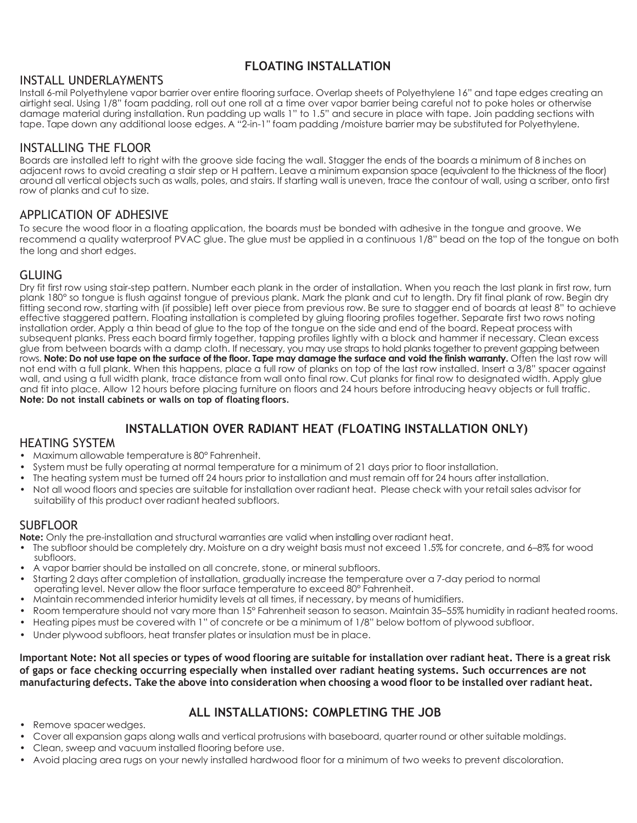## **FLOATING INSTALLATION**

#### INSTALL UNDERLAYMENTS

Install 6-mil Polyethylene vapor barrier over entire flooring surface. Overlap sheets of Polyethylene 16" and tape edges creating an airtight seal. Using 1/8" foam padding, roll out one roll at a time over vapor barrier being careful not to poke holes or otherwise damage material during installation. Run padding up walls 1" to 1.5" and secure in place with tape. Join padding sections with tape. Tape down any additional loose edges. A "2-in-1" foam padding /moisture barrier may be substituted for Polyethylene.

#### INSTALLING THE FLOOR

Boards are installed left to right with the groove side facing the wall. Stagger the ends of the boards a minimum of 8 inches on adjacent rows to avoid creating a stair step or H pattern. Leave a minimum expansion space (equivalent to the thickness of the floor) around all vertical objects such as walls, poles, and stairs. If starting wall is uneven, trace the contour of wall, using a scriber, onto first row of planks and cut to size.

## APPLICATION OF ADHESIVE

To secure the wood floor in a floating application, the boards must be bonded with adhesive in the tongue and groove. We recommend a quality waterproof PVAC glue. The glue must be applied in a continuous 1/8" bead on the top of the tongue on both the long and short edges.

## GLUING

Dry fit first row using stair-step pattern. Number each plank in the order of installation. When you reach the last plank in first row, turn plank 180° so tongue is flush against tongue of previous plank. Mark the plank and cut to length. Dry fit final plank of row. Begin dry fitting second row, starting with (if possible) left over piece from previous row. Be sure to stagger end of boards at least 8" to achieve effective staggered pattern. Floating installation is completed by gluing flooring profiles together. Separate first two rows noting installation order. Apply a thin bead of glue to the top of the tongue on the side and end of the board. Repeat process with subsequent planks. Press each board firmly together, tapping profiles lightly with a block and hammer if necessary. Clean excess glue from between boards with a damp cloth. If necessary, you may use straps to hold planks together to prevent gapping between rows. **Note: Do not use tape on the surface of the floor. Tape may damage the surface and void the finish warranty.** Often the last row will not end with a full plank. When this happens, place a full row of planks on top of the last row installed. Insert a 3/8" spacer against wall, and using a full width plank, trace distance from wall onto final row. Cut planks for final row to designated width. Apply glue and fit into place. Allow 12 hours before placing furniture on floors and 24 hours before introducing heavy objects or full traffic. **Note: Do not install cabinets or walls on top of floating floors**.

# **INSTALLATION OVER RADIANT HEAT (FLOATING INSTALLATION ONLY)**

#### HEATING SYSTEM

- Maximum allowable temperature is 80° Fahrenheit.
- System must be fully operating at normal temperature for a minimum of 21 days prior to floor installation.
- The heating system must be turned off 24 hours prior to installation and must remain off for 24 hours after installation.
- Not all wood floors and species are suitable for installation over radiant heat. Please check with your retail sales advisor for suitability of this product over radiant heated subfloors.

#### SUBFLOOR

**Note:** Only the pre-installation and structural warranties are valid when installing over radiant heat.

- The subfloor should be completely dry. Moisture on a dry weight basis must not exceed 1.5% for concrete, and 6–8% for wood subfloors.
- A vapor barrier should be installed on all concrete, stone, or mineral subfloors.
- Starting 2 days after completion of installation, gradually increase the temperature over a 7-day period to normal operating level. Never allow the floor surface temperature to exceed 80° Fahrenheit.
- Maintain recommended interior humidity levels at all times, if necessary, by means of humidifiers.
- Room temperature should not vary more than 15° Fahrenheit season to season. Maintain 35–55% humidity in radiant heated rooms.
- Heating pipes must be covered with 1" of concrete or be a minimum of 1/8" below bottom of plywood subfloor.
- Under plywood subfloors, heat transfer plates or insulation must be in place.

**Important Note: Not all species or types of wood flooring are suitable for installation over radiant heat. There is a great risk of gaps or face checking occurring especially when installed over radiant heating systems. Such occurrences are not manufacturing defects. Take the above into consideration when choosing a wood floor to be installed over radiant heat.**

## **ALL INSTALLATIONS: COMPLETING THE JOB**

- Remove spacer wedges.
- Cover all expansion gaps along walls and vertical protrusions with baseboard, quarter round or other suitable moldings.
- Clean, sweep and vacuum installed flooring before use.
- Avoid placing area rugs on your newly installed hardwood floor for a minimum of two weeks to prevent discoloration.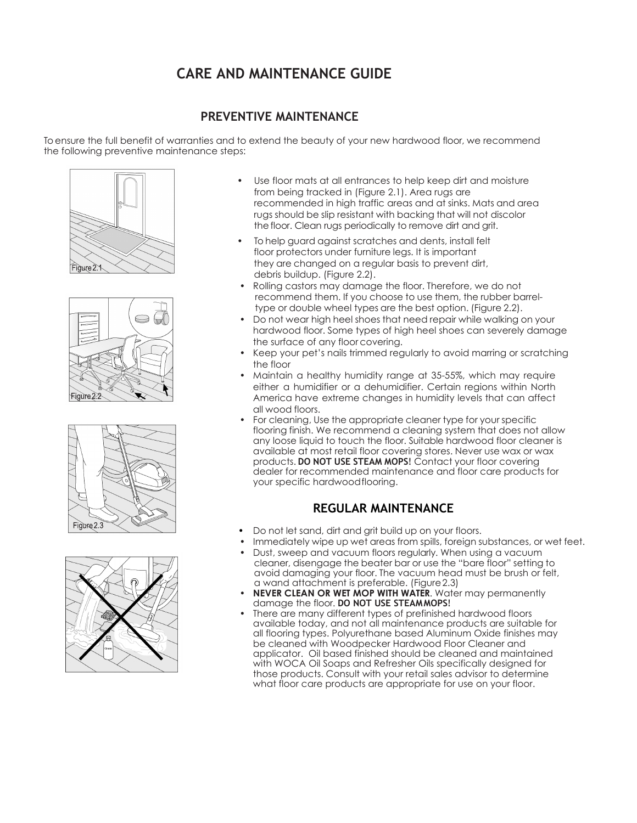# **CARE AND MAINTENANCE GUIDE**

## **PREVENTIVE MAINTENANCE**

To ensure the full benefit of warranties and to extend the beauty of your new hardwood floor, we recommend the following preventive maintenance steps:









- Use floor mats at all entrances to help keep dirt and moisture from being tracked in (Figure 2.1). Area rugs are recommended in high traffic areas and at sinks. Mats and area rugs should be slip resistant with backing that will not discolor the floor. Clean rugs periodically to remove dirt and grit.
- To help guard against scratches and dents, install felt floor protectors under furniture legs. It is important they are changed on a regular basis to prevent dirt, debris buildup. (Figure 2.2).
- Rolling castors may damage the floor. Therefore, we do not recommend them. If you choose to use them, the rubber barreltype or double wheel types are the best option. (Figure 2.2).
- Do not wear high heel shoes that need repair while walking on your hardwood floor. Some types of high heel shoes can severely damage the surface of any floor covering.
- Keep your pet's nails trimmed regularly to avoid marring or scratching the floor
- Maintain a healthy humidity range at 35-55%, which may require either a humidifier or a dehumidifier. Certain regions within North America have extreme changes in humidity levels that can affect all wood floors.
- For cleaning, Use the appropriate cleaner type for your specific flooring finish. We recommend a cleaning system that does not allow any loose liquid to touch the floor. Suitable hardwood floor cleaner is available at most retail floor covering stores. Never use wax or wax products. **DO NOT USE STEAM MOPS**! Contact your floor covering dealer for recommended maintenance and floor care products for your specific hardwood flooring.

## **REGULAR MAINTENANCE**

- Do not let sand, dirt and grit build up on your floors.
- Immediately wipe up wet areas from spills, foreign substances, or wet feet.
- Dust, sweep and vacuum floors regularly. When using a vacuum cleaner, disengage the beater bar or use the "bare floor" setting to avoid damaging your floor. The vacuum head must be brush or felt, a wand attachment is preferable. (Figure2.3)
- **NEVER CLEAN OR WET MOP WITH WATER.** Water may permanently damage the floor. **DO NOT USE STEAM MOPS**!
- There are many different types of prefinished hardwood floors available today, and not all maintenance products are suitable for all flooring types. Polyurethane based Aluminum Oxide finishes may be cleaned with Woodpecker Hardwood Floor Cleaner and applicator. Oil based finished should be cleaned and maintained with WOCA Oil Soaps and Refresher Oils specifically designed for those products. Consult with your retail sales advisor to determine what floor care products are appropriate for use on your floor.